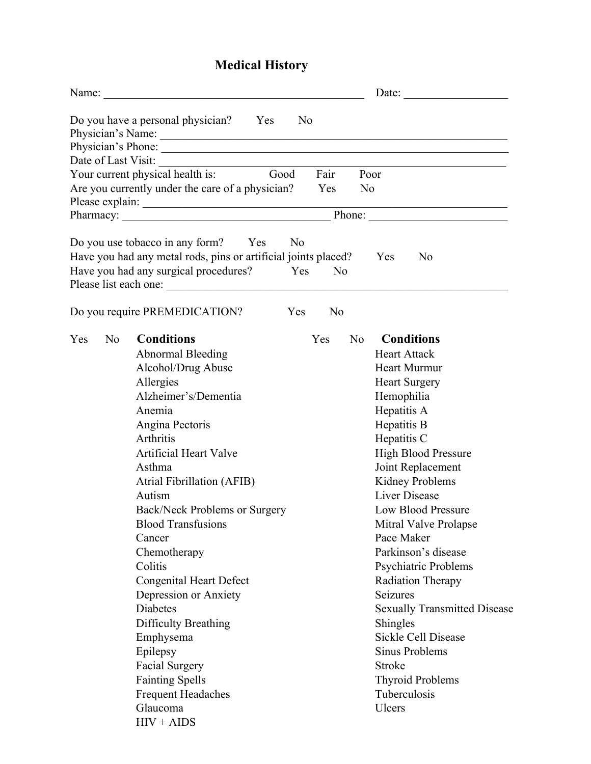## **Medical History**

|                       |                                                                                                                                                                                                                                                                                                                                                                                                                                                                                                                                                                            | Date: $\qquad \qquad \qquad$ |                |                                                                                                                                                                                                                                                                                                                                                                                                                                                                                                                                                                        |  |
|-----------------------|----------------------------------------------------------------------------------------------------------------------------------------------------------------------------------------------------------------------------------------------------------------------------------------------------------------------------------------------------------------------------------------------------------------------------------------------------------------------------------------------------------------------------------------------------------------------------|------------------------------|----------------|------------------------------------------------------------------------------------------------------------------------------------------------------------------------------------------------------------------------------------------------------------------------------------------------------------------------------------------------------------------------------------------------------------------------------------------------------------------------------------------------------------------------------------------------------------------------|--|
|                       | Do you have a personal physician? Yes                                                                                                                                                                                                                                                                                                                                                                                                                                                                                                                                      | N <sub>0</sub>               |                |                                                                                                                                                                                                                                                                                                                                                                                                                                                                                                                                                                        |  |
| Date of Last Visit:   | <u> 1980 - Jan Samuel Barbara, martin a</u>                                                                                                                                                                                                                                                                                                                                                                                                                                                                                                                                | Fair                         |                |                                                                                                                                                                                                                                                                                                                                                                                                                                                                                                                                                                        |  |
|                       | Good<br>Your current physical health is:                                                                                                                                                                                                                                                                                                                                                                                                                                                                                                                                   |                              |                | Poor                                                                                                                                                                                                                                                                                                                                                                                                                                                                                                                                                                   |  |
|                       | Are you currently under the care of a physician?                                                                                                                                                                                                                                                                                                                                                                                                                                                                                                                           | Yes                          | N <sub>0</sub> |                                                                                                                                                                                                                                                                                                                                                                                                                                                                                                                                                                        |  |
|                       | Please explain:                                                                                                                                                                                                                                                                                                                                                                                                                                                                                                                                                            |                              |                |                                                                                                                                                                                                                                                                                                                                                                                                                                                                                                                                                                        |  |
|                       |                                                                                                                                                                                                                                                                                                                                                                                                                                                                                                                                                                            |                              |                |                                                                                                                                                                                                                                                                                                                                                                                                                                                                                                                                                                        |  |
|                       | Do you use tobacco in any form?<br>N <sub>0</sub><br>Yes<br>Have you had any metal rods, pins or artificial joints placed?<br>Have you had any surgical procedures?<br>Yes                                                                                                                                                                                                                                                                                                                                                                                                 | N <sub>0</sub>               |                | Yes<br>N <sub>0</sub>                                                                                                                                                                                                                                                                                                                                                                                                                                                                                                                                                  |  |
|                       | Do you require PREMEDICATION?<br>Yes                                                                                                                                                                                                                                                                                                                                                                                                                                                                                                                                       | N <sub>0</sub>               |                |                                                                                                                                                                                                                                                                                                                                                                                                                                                                                                                                                                        |  |
| Yes<br>N <sub>o</sub> | <b>Conditions</b><br><b>Abnormal Bleeding</b><br>Alcohol/Drug Abuse<br>Allergies<br>Alzheimer's/Dementia<br>Anemia<br>Angina Pectoris<br>Arthritis<br><b>Artificial Heart Valve</b><br>Asthma<br><b>Atrial Fibrillation (AFIB)</b><br>Autism<br>Back/Neck Problems or Surgery<br><b>Blood Transfusions</b><br>Cancer<br>Chemotherapy<br>Colitis<br><b>Congenital Heart Defect</b><br>Depression or Anxiety<br><b>Diabetes</b><br>Difficulty Breathing<br>Emphysema<br>Epilepsy<br><b>Facial Surgery</b><br><b>Fainting Spells</b><br><b>Frequent Headaches</b><br>Glaucoma | Yes                          | No             | <b>Conditions</b><br><b>Heart Attack</b><br><b>Heart Murmur</b><br><b>Heart Surgery</b><br>Hemophilia<br>Hepatitis A<br>Hepatitis B<br>Hepatitis C<br><b>High Blood Pressure</b><br>Joint Replacement<br>Kidney Problems<br><b>Liver Disease</b><br><b>Low Blood Pressure</b><br>Mitral Valve Prolapse<br>Pace Maker<br>Parkinson's disease<br>Psychiatric Problems<br><b>Radiation Therapy</b><br>Seizures<br><b>Sexually Transmitted Disease</b><br>Shingles<br>Sickle Cell Disease<br>Sinus Problems<br>Stroke<br><b>Thyroid Problems</b><br>Tuberculosis<br>Ulcers |  |